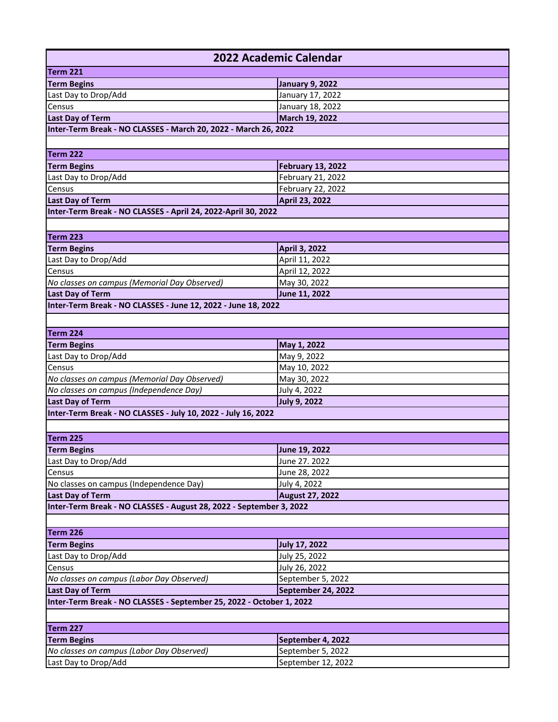| 2022 Academic Calendar                                               |                            |  |
|----------------------------------------------------------------------|----------------------------|--|
| Term 221                                                             |                            |  |
| <b>Term Begins</b>                                                   | <b>January 9, 2022</b>     |  |
| Last Day to Drop/Add                                                 | January 17, 2022           |  |
| Census                                                               | January 18, 2022           |  |
| <b>Last Day of Term</b>                                              | March 19, 2022             |  |
| Inter-Term Break - NO CLASSES - March 20, 2022 - March 26, 2022      |                            |  |
|                                                                      |                            |  |
| Term 222                                                             |                            |  |
| <b>Term Begins</b>                                                   | <b>February 13, 2022</b>   |  |
| Last Day to Drop/Add                                                 | February 21, 2022          |  |
| Census                                                               | February 22, 2022          |  |
| <b>Last Day of Term</b>                                              | April 23, 2022             |  |
| Inter-Term Break - NO CLASSES - April 24, 2022-April 30, 2022        |                            |  |
|                                                                      |                            |  |
| Term 223                                                             |                            |  |
| <b>Term Begins</b>                                                   | April 3, 2022              |  |
| Last Day to Drop/Add                                                 | April 11, 2022             |  |
| Census                                                               | April 12, 2022             |  |
| No classes on campus (Memorial Day Observed)                         | May 30, 2022               |  |
| <b>Last Day of Term</b>                                              | June 11, 2022              |  |
| Inter-Term Break - NO CLASSES - June 12, 2022 - June 18, 2022        |                            |  |
|                                                                      |                            |  |
| Term 224                                                             |                            |  |
| <b>Term Begins</b>                                                   |                            |  |
| Last Day to Drop/Add                                                 | May 1, 2022<br>May 9, 2022 |  |
| Census                                                               | May 10, 2022               |  |
| No classes on campus (Memorial Day Observed)                         | May 30, 2022               |  |
| No classes on campus (Independence Day)                              | July 4, 2022               |  |
| <b>Last Day of Term</b>                                              | <b>July 9, 2022</b>        |  |
| Inter-Term Break - NO CLASSES - July 10, 2022 - July 16, 2022        |                            |  |
|                                                                      |                            |  |
| Term 225                                                             |                            |  |
| <b>Term Begins</b>                                                   | June 19, 2022              |  |
| Last Day to Drop/Add                                                 | June 27. 2022              |  |
| Census                                                               | June 28, 2022              |  |
| No classes on campus (Independence Day)                              | July 4, 2022               |  |
| <b>Last Day of Term</b>                                              | <b>August 27, 2022</b>     |  |
| Inter-Term Break - NO CLASSES - August 28, 2022 - September 3, 2022  |                            |  |
|                                                                      |                            |  |
|                                                                      |                            |  |
| Term 226                                                             |                            |  |
| <b>Term Begins</b>                                                   | <b>July 17, 2022</b>       |  |
| Last Day to Drop/Add                                                 | July 25, 2022              |  |
| Census                                                               | July 26, 2022              |  |
| No classes on campus (Labor Day Observed)                            | September 5, 2022          |  |
| <b>Last Day of Term</b><br>September 24, 2022                        |                            |  |
| Inter-Term Break - NO CLASSES - September 25, 2022 - October 1, 2022 |                            |  |
|                                                                      |                            |  |
| Term 227                                                             |                            |  |
| <b>Term Begins</b>                                                   | September 4, 2022          |  |
| No classes on campus (Labor Day Observed)                            | September 5, 2022          |  |
| Last Day to Drop/Add                                                 | September 12, 2022         |  |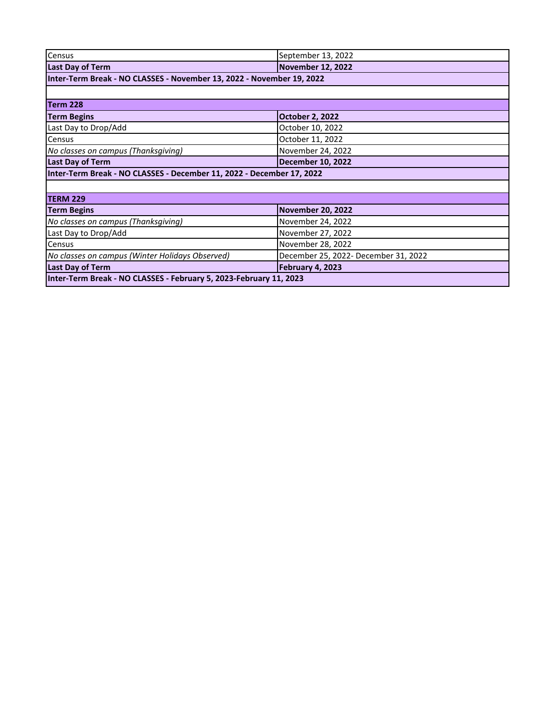| Census                                                                | September 13, 2022                   |  |
|-----------------------------------------------------------------------|--------------------------------------|--|
| <b>Last Day of Term</b>                                               | <b>November 12, 2022</b>             |  |
| Inter-Term Break - NO CLASSES - November 13, 2022 - November 19, 2022 |                                      |  |
|                                                                       |                                      |  |
| Term 228                                                              |                                      |  |
| <b>Term Begins</b>                                                    | <b>October 2, 2022</b>               |  |
| Last Day to Drop/Add                                                  | October 10, 2022                     |  |
| <b>Census</b>                                                         | October 11, 2022                     |  |
| No classes on campus (Thanksgiving)                                   | November 24, 2022                    |  |
| <b>Last Day of Term</b>                                               | <b>December 10, 2022</b>             |  |
| Inter-Term Break - NO CLASSES - December 11, 2022 - December 17, 2022 |                                      |  |
|                                                                       |                                      |  |
| TERM 229                                                              |                                      |  |
| <b>Term Begins</b>                                                    | <b>November 20, 2022</b>             |  |
| No classes on campus (Thanksgiving)                                   | November 24, 2022                    |  |
| Last Day to Drop/Add                                                  | November 27, 2022                    |  |
| Census                                                                | November 28, 2022                    |  |
| No classes on campus (Winter Holidays Observed)                       | December 25, 2022- December 31, 2022 |  |
| <b>Last Day of Term</b>                                               | February 4, 2023                     |  |
| Inter-Term Break - NO CLASSES - February 5, 2023-February 11, 2023    |                                      |  |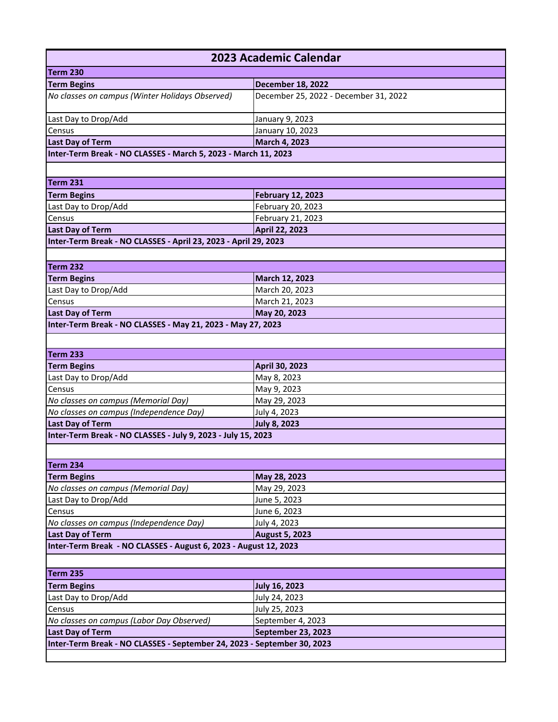| 2023 Academic Calendar                                                  |                                         |  |
|-------------------------------------------------------------------------|-----------------------------------------|--|
| Term 230                                                                |                                         |  |
| <b>Term Begins</b>                                                      | <b>December 18, 2022</b>                |  |
| No classes on campus (Winter Holidays Observed)                         | December 25, 2022 - December 31, 2022   |  |
| Last Day to Drop/Add                                                    | January 9, 2023                         |  |
| Census                                                                  | January 10, 2023                        |  |
| <b>Last Day of Term</b>                                                 | March 4, 2023                           |  |
| Inter-Term Break - NO CLASSES - March 5, 2023 - March 11, 2023          |                                         |  |
|                                                                         |                                         |  |
| Term 231                                                                |                                         |  |
| <b>Term Begins</b>                                                      | <b>February 12, 2023</b>                |  |
| Last Day to Drop/Add                                                    | February 20, 2023                       |  |
| Census                                                                  | February 21, 2023                       |  |
| <b>Last Day of Term</b>                                                 | April 22, 2023                          |  |
| Inter-Term Break - NO CLASSES - April 23, 2023 - April 29, 2023         |                                         |  |
|                                                                         |                                         |  |
| Term 232                                                                |                                         |  |
| <b>Term Begins</b>                                                      | March 12, 2023                          |  |
| Last Day to Drop/Add                                                    | March 20, 2023                          |  |
| Census                                                                  | March 21, 2023                          |  |
| <b>Last Day of Term</b>                                                 | May 20, 2023                            |  |
| Inter-Term Break - NO CLASSES - May 21, 2023 - May 27, 2023             |                                         |  |
|                                                                         |                                         |  |
| Term 233                                                                |                                         |  |
| <b>Term Begins</b>                                                      | April 30, 2023                          |  |
| Last Day to Drop/Add                                                    | May 8, 2023                             |  |
| Census                                                                  | May 9, 2023                             |  |
| No classes on campus (Memorial Day)                                     | May 29, 2023                            |  |
| No classes on campus (Independence Day)                                 | July 4, 2023                            |  |
| <b>Last Day of Term</b>                                                 | <b>July 8, 2023</b>                     |  |
| Inter-Term Break - NO CLASSES - July 9, 2023 - July 15, 2023            |                                         |  |
|                                                                         |                                         |  |
| Term 234                                                                |                                         |  |
| <b>Term Begins</b>                                                      | May 28, 2023                            |  |
| No classes on campus (Memorial Day)                                     | May 29, 2023                            |  |
| Last Day to Drop/Add                                                    | June 5, 2023                            |  |
| Census                                                                  | June 6, 2023                            |  |
| No classes on campus (Independence Day)                                 | July 4, 2023                            |  |
| <b>Last Day of Term</b>                                                 | <b>August 5, 2023</b>                   |  |
| Inter-Term Break - NO CLASSES - August 6, 2023 - August 12, 2023        |                                         |  |
|                                                                         |                                         |  |
| Term 235                                                                |                                         |  |
| <b>Term Begins</b>                                                      | <b>July 16, 2023</b>                    |  |
| Last Day to Drop/Add                                                    | July 24, 2023                           |  |
| Census                                                                  | July 25, 2023                           |  |
| No classes on campus (Labor Day Observed)<br><b>Last Day of Term</b>    | September 4, 2023<br>September 23, 2023 |  |
| Inter-Term Break - NO CLASSES - September 24, 2023 - September 30, 2023 |                                         |  |
|                                                                         |                                         |  |